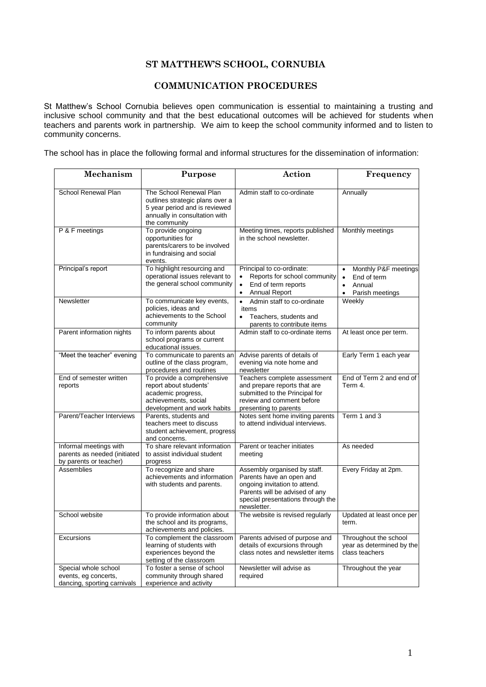## **ST MATTHEW'S SCHOOL, CORNUBIA**

# **COMMUNICATION PROCEDURES**

St Matthew's School Cornubia believes open communication is essential to maintaining a trusting and inclusive school community and that the best educational outcomes will be achieved for students when teachers and parents work in partnership. We aim to keep the school community informed and to listen to community concerns.

The school has in place the following formal and informal structures for the dissemination of information:

| Mechanism                                                                        | Purpose                                                                                                                                       | Action                                                                                                                                                                          | Frequency                                                                                               |
|----------------------------------------------------------------------------------|-----------------------------------------------------------------------------------------------------------------------------------------------|---------------------------------------------------------------------------------------------------------------------------------------------------------------------------------|---------------------------------------------------------------------------------------------------------|
| School Renewal Plan                                                              | The School Renewal Plan<br>outlines strategic plans over a<br>5 year period and is reviewed<br>annually in consultation with<br>the community | Admin staff to co-ordinate                                                                                                                                                      | Annually                                                                                                |
| P & F meetings                                                                   | To provide ongoing<br>opportunities for<br>parents/carers to be involved<br>in fundraising and social<br>events.                              | Meeting times, reports published<br>in the school newsletter.                                                                                                                   | Monthly meetings                                                                                        |
| Principal's report                                                               | To highlight resourcing and<br>operational issues relevant to<br>the general school community                                                 | Principal to co-ordinate:<br>Reports for school community<br>End of term reports<br>$\bullet$<br><b>Annual Report</b><br>$\bullet$                                              | Monthly P&F meetings<br>End of term<br>$\bullet$<br>Annual<br>$\bullet$<br>Parish meetings<br>$\bullet$ |
| Newsletter                                                                       | To communicate key events,<br>policies, ideas and<br>achievements to the School<br>community                                                  | $\bullet$<br>Admin staff to co-ordinate<br>items<br>$\bullet$<br>Teachers, students and<br>parents to contribute items                                                          | Weekly                                                                                                  |
| Parent information nights                                                        | To inform parents about<br>school programs or current<br>educational issues.                                                                  | Admin staff to co-ordinate items                                                                                                                                                | At least once per term.                                                                                 |
| "Meet the teacher" evening                                                       | To communicate to parents an<br>outline of the class program,<br>procedures and routines                                                      | Advise parents of details of<br>evening via note home and<br>newsletter                                                                                                         | Early Term 1 each year                                                                                  |
| End of semester written<br>reports                                               | To provide a comprehensive<br>report about students'<br>academic progress,<br>achievements, social<br>development and work habits             | Teachers complete assessment<br>and prepare reports that are<br>submitted to the Principal for<br>review and comment before<br>presenting to parents                            | End of Term 2 and end of<br>Term 4.                                                                     |
| Parent/Teacher Interviews                                                        | Parents, students and<br>teachers meet to discuss<br>student achievement, progress<br>and concerns.                                           | Notes sent home inviting parents<br>to attend individual interviews.                                                                                                            | Term 1 and 3                                                                                            |
| Informal meetings with<br>parents as needed (initiated<br>by parents or teacher) | To share relevant information<br>to assist individual student<br>progress                                                                     | Parent or teacher initiates<br>meeting                                                                                                                                          | As needed                                                                                               |
| Assemblies                                                                       | To recognize and share<br>achievements and information<br>with students and parents.                                                          | Assembly organised by staff.<br>Parents have an open and<br>ongoing invitation to attend.<br>Parents will be advised of any<br>special presentations through the<br>newsletter. | Every Friday at 2pm.                                                                                    |
| School website                                                                   | To provide information about<br>the school and its programs,<br>achievements and policies.                                                    | The website is revised regularly                                                                                                                                                | Updated at least once per<br>term.                                                                      |
| Excursions                                                                       | To complement the classroom<br>learning of students with<br>experiences beyond the<br>setting of the classroom                                | Parents advised of purpose and<br>details of excursions through<br>class notes and newsletter items                                                                             | Throughout the school<br>year as determined by the<br>class teachers                                    |
| Special whole school<br>events, eg concerts,<br>dancing, sporting carnivals      | To foster a sense of school<br>community through shared<br>experience and activity                                                            | Newsletter will advise as<br>required                                                                                                                                           | Throughout the year                                                                                     |